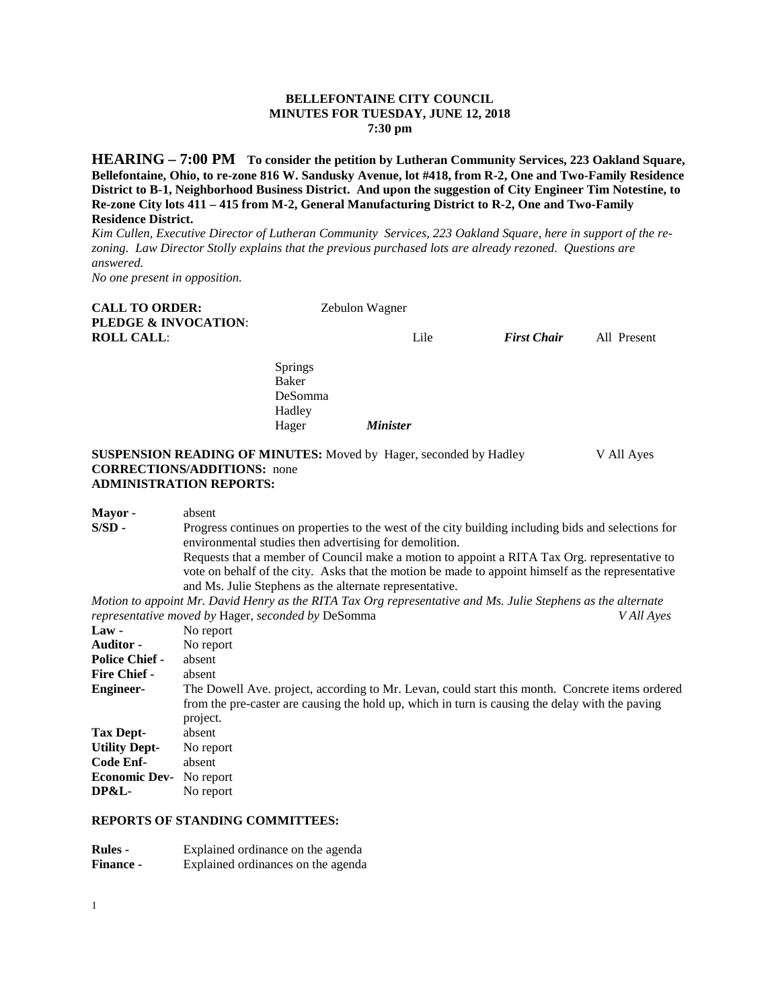## **BELLEFONTAINE CITY COUNCIL MINUTES FOR TUESDAY, JUNE 12, 2018 7:30 pm**

**HEARING – 7:00 PM To consider the petition by Lutheran Community Services, 223 Oakland Square, Bellefontaine, Ohio, to re-zone 816 W. Sandusky Avenue, lot #418, from R-2, One and Two-Family Residence District to B-1, Neighborhood Business District. And upon the suggestion of City Engineer Tim Notestine, to Re-zone City lots 411 – 415 from M-2, General Manufacturing District to R-2, One and Two-Family Residence District.** 

*Kim Cullen, Executive Director of Lutheran Community Services, 223 Oakland Square, here in support of the rezoning. Law Director Stolly explains that the previous purchased lots are already rezoned. Questions are answered.* 

*No one present in opposition.*

| <b>CALL TO ORDER:</b><br>PLEDGE & INVOCATION: | Zebulon Wagner                                        |                 |                    |             |
|-----------------------------------------------|-------------------------------------------------------|-----------------|--------------------|-------------|
| <b>ROLL CALL:</b>                             |                                                       | Lile            | <b>First Chair</b> | All Present |
|                                               | Springs<br><b>Baker</b><br>DeSomma<br>Hadley<br>Hager | <b>Minister</b> |                    |             |

## **SUSPENSION READING OF MINUTES:** Moved by Hager, seconded by Hadley V All Ayes **CORRECTIONS/ADDITIONS:** none **ADMINISTRATION REPORTS:**

**Mayor -** absent<br>**S/SD -** Progre Progress continues on properties to the west of the city building including bids and selections for environmental studies then advertising for demolition. Requests that a member of Council make a motion to appoint a RITA Tax Org. representative to vote on behalf of the city. Asks that the motion be made to appoint himself as the representative and Ms. Julie Stephens as the alternate representative. *Motion to appoint Mr. David Henry as the RITA Tax Org representative and Ms. Julie Stephens as the alternate representative moved by Hager, seconded by DeSomma* **Law** - No report No report **Auditor -** No report<br>**Police Chief -** absent **Police Chief -Fire Chief -** absent **Engineer-** The Dowell Ave. project, according to Mr. Levan, could start this month. Concrete items ordered from the pre-caster are causing the hold up, which in turn is causing the delay with the paving project. **Tax Dept-** absent **Utility Dept-** No report **Code Enf-** absent **Economic Dev-** No report<br>DP&L- No report No report

#### **REPORTS OF STANDING COMMITTEES:**

| <b>Rules</b> -   | Explained ordinance on the agenda  |
|------------------|------------------------------------|
| <b>Finance -</b> | Explained ordinances on the agenda |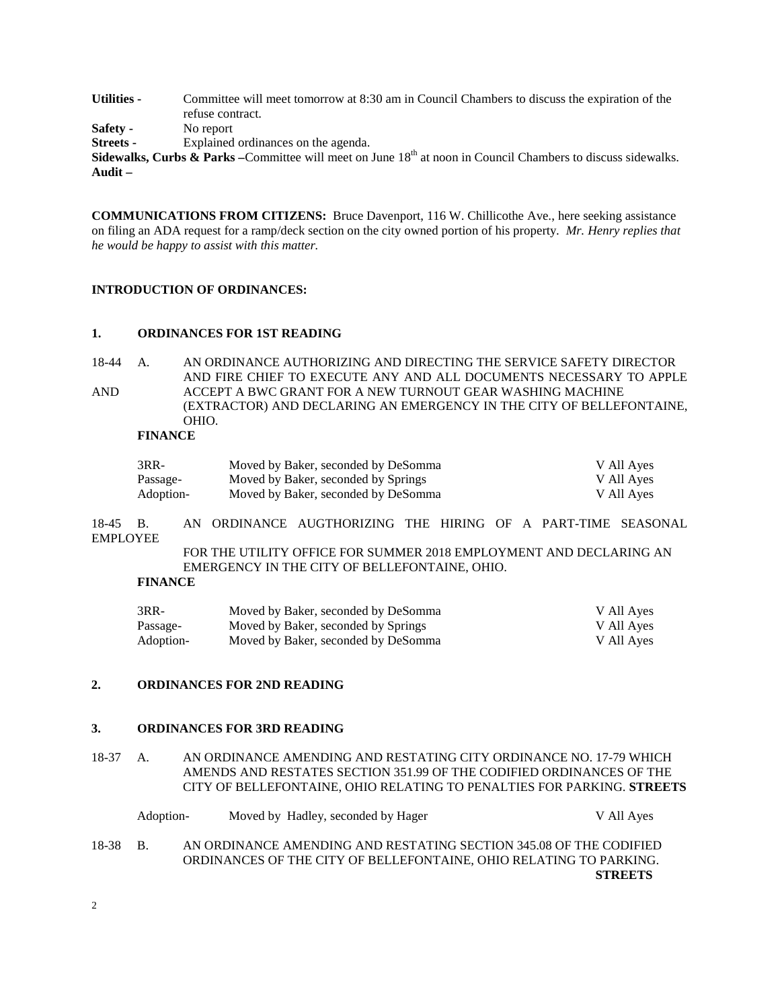**Utilities -** Committee will meet tomorrow at 8:30 am in Council Chambers to discuss the expiration of the refuse contract.

**Safety -** No report

**Streets -** Explained ordinances on the agenda.

**Sidewalks, Curbs & Parks** – Committee will meet on June 18<sup>th</sup> at noon in Council Chambers to discuss sidewalks. **Audit –**

**COMMUNICATIONS FROM CITIZENS:** Bruce Davenport, 116 W. Chillicothe Ave., here seeking assistance on filing an ADA request for a ramp/deck section on the city owned portion of his property. *Mr. Henry replies that he would be happy to assist with this matter.*

# **INTRODUCTION OF ORDINANCES:**

### **1. ORDINANCES FOR 1ST READING**

18-44 A. AN ORDINANCE AUTHORIZING AND DIRECTING THE SERVICE SAFETY DIRECTOR AND FIRE CHIEF TO EXECUTE ANY AND ALL DOCUMENTS NECESSARY TO APPLE AND ACCEPT A BWC GRANT FOR A NEW TURNOUT GEAR WASHING MACHINE (EXTRACTOR) AND DECLARING AN EMERGENCY IN THE CITY OF BELLEFONTAINE, OHIO.

## **FINANCE**

| 3RR-      | Moved by Baker, seconded by DeSomma | V All Ayes |
|-----------|-------------------------------------|------------|
| Passage-  | Moved by Baker, seconded by Springs | V All Ayes |
| Adoption- | Moved by Baker, seconded by DeSomma | V All Ayes |

18-45 B. AN ORDINANCE AUGTHORIZING THE HIRING OF A PART-TIME SEASONAL EMPLOYEE

> FOR THE UTILITY OFFICE FOR SUMMER 2018 EMPLOYMENT AND DECLARING AN EMERGENCY IN THE CITY OF BELLEFONTAINE, OHIO.

### **FINANCE**

| $3RR-$    | Moved by Baker, seconded by DeSomma | V All Ayes |
|-----------|-------------------------------------|------------|
| Passage-  | Moved by Baker, seconded by Springs | V All Ayes |
| Adoption- | Moved by Baker, seconded by DeSomma | V All Ayes |

# **2. ORDINANCES FOR 2ND READING**

### **3. ORDINANCES FOR 3RD READING**

18-37 A. AN ORDINANCE AMENDING AND RESTATING CITY ORDINANCE NO. 17-79 WHICH AMENDS AND RESTATES SECTION 351.99 OF THE CODIFIED ORDINANCES OF THE CITY OF BELLEFONTAINE, OHIO RELATING TO PENALTIES FOR PARKING. **STREETS**

|          | Adoption- |  | Moved by Hadley, seconded by Hager                                                                                                       | V All Ayes     |
|----------|-----------|--|------------------------------------------------------------------------------------------------------------------------------------------|----------------|
| 18-38 B. |           |  | AN ORDINANCE AMENDING AND RESTATING SECTION 345.08 OF THE CODIFIED<br>ORDINANCES OF THE CITY OF BELLEFONTAINE, OHIO RELATING TO PARKING. |                |
|          |           |  |                                                                                                                                          | <b>STREETS</b> |